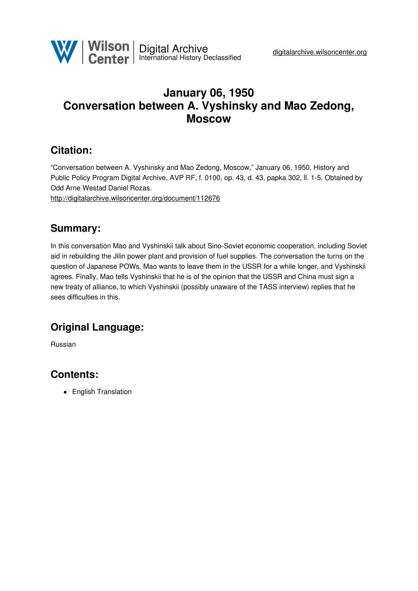

# **January 06, 1950 Conversation between A. Vyshinsky and Mao Zedong, Moscow**

## **Citation:**

"Conversation between A. Vyshinsky and Mao Zedong, Moscow," January 06, 1950, History and Public Policy Program Digital Archive, AVP RF, f. 0100, op. 43, d. 43, papka 302, ll. 1-5. Obtained by Odd Arne Westad Daniel Rozas.

<http://digitalarchive.wilsoncenter.org/document/112676>

#### **Summary:**

In this conversation Mao and Vyshinskii talk about Sino-Soviet economic cooperation, including Soviet aid in rebuilding the Jilin power plant and provision of fuel supplies. The conversation the turns on the question of Japanese POWs. Mao wants to leave them in the USSR for a while longer, and Vyshinskii agrees. Finally, Mao tells Vyshinskii that he is of the opinion that the USSR and China must sign a new treaty of alliance, to which Vyshinskii (possibly unaware of the TASS interview) replies that he sees difficulties in this.

## **Original Language:**

Russian

## **Contents:**

• English Translation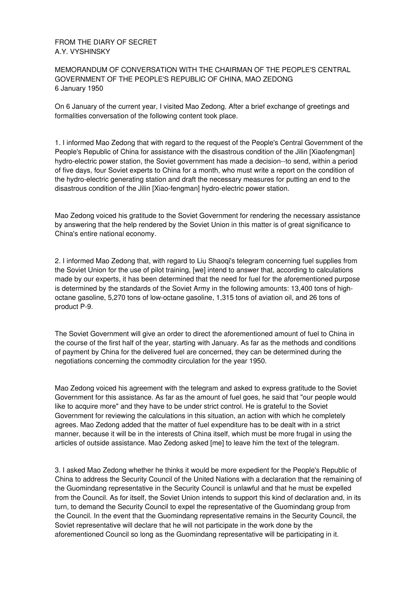#### FROM THE DIARY OF SECRET A.Y. VYSHINSKY

#### MEMORANDUM OF CONVERSATION WITH THE CHAIRMAN OF THE PEOPLE'S CENTRAL GOVERNMENT OF THE PEOPLE'S REPUBLIC OF CHINA, MAO ZEDONG 6 January 1950

On 6 January of the current year, I visited Mao Zedong. After a brief exchange of greetings and formalities conversation of the following content took place.

1. I informed Mao Zedong that with regard to the request of the People's Central Government of the People's Republic of China for assistance with the disastrous condition of the Jilin [Xiaofengman] hydro-electric power station, the Soviet government has made a decision--to send, within a period of five days, four Soviet experts to China for a month, who must write a report on the condition of the hydro-electric generating station and draft the necessary measures for putting an end to the disastrous condition of the Jilin [Xiao-fengman] hydro-electric power station.

Mao Zedong voiced his gratitude to the Soviet Government for rendering the necessary assistance by answering that the help rendered by the Soviet Union in this matter is of great significance to China's entire national economy.

2. I informed Mao Zedong that, with regard to Liu Shaoqi's telegram concerning fuel supplies from the Soviet Union for the use of pilot training, [we] intend to answer that, according to calculations made by our experts, it has been determined that the need for fuel for the aforementioned purpose is determined by the standards of the Soviet Army in the following amounts: 13,400 tons of highoctane gasoline, 5,270 tons of low-octane gasoline, 1,315 tons of aviation oil, and 26 tons of product P-9.

The Soviet Government will give an order to direct the aforementioned amount of fuel to China in the course of the first half of the year, starting with January. As far as the methods and conditions of payment by China for the delivered fuel are concerned, they can be determined during the negotiations concerning the commodity circulation for the year 1950.

Mao Zedong voiced his agreement with the telegram and asked to express gratitude to the Soviet Government for this assistance. As far as the amount of fuel goes, he said that "our people would like to acquire more" and they have to be under strict control. He is grateful to the Soviet Government for reviewing the calculations in this situation, an action with which he completely agrees. Mao Zedong added that the matter of fuel expenditure has to be dealt with in a strict manner, because it will be in the interests of China itself, which must be more frugal in using the articles of outside assistance. Mao Zedong asked [me] to leave him the text of the telegram.

3. I asked Mao Zedong whether he thinks it would be more expedient for the People's Republic of China to address the Security Council of the United Nations with a declaration that the remaining of the Guomindang representative in the Security Council is unlawful and that he must be expelled from the Council. As for itself, the Soviet Union intends to support this kind of declaration and, in its turn, to demand the Security Council to expel the representative of the Guomindang group from the Council. In the event that the Guomindang representative remains in the Security Council, the Soviet representative will declare that he will not participate in the work done by the aforementioned Council so long as the Guomindang representative will be participating in it.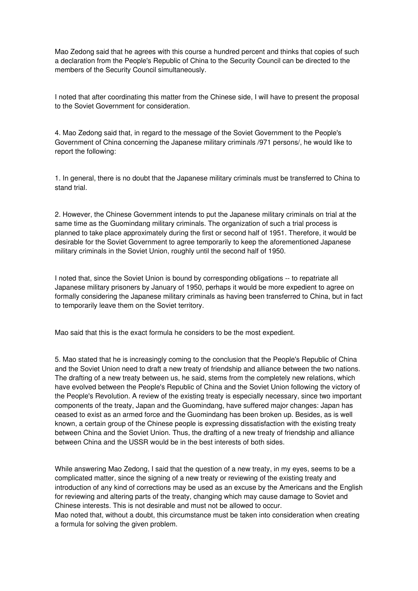Mao Zedong said that he agrees with this course a hundred percent and thinks that copies of such a declaration from the People's Republic of China to the Security Council can be directed to the members of the Security Council simultaneously.

I noted that after coordinating this matter from the Chinese side, I will have to present the proposal to the Soviet Government for consideration.

4. Mao Zedong said that, in regard to the message of the Soviet Government to the People's Government of China concerning the Japanese military criminals /971 persons/, he would like to report the following:

1. In general, there is no doubt that the Japanese military criminals must be transferred to China to stand trial.

2. However, the Chinese Government intends to put the Japanese military criminals on trial at the same time as the Guomindang military criminals. The organization of such a trial process is planned to take place approximately during the first or second half of 1951. Therefore, it would be desirable for the Soviet Government to agree temporarily to keep the aforementioned Japanese military criminals in the Soviet Union, roughly until the second half of 1950.

I noted that, since the Soviet Union is bound by corresponding obligations -- to repatriate all Japanese military prisoners by January of 1950, perhaps it would be more expedient to agree on formally considering the Japanese military criminals as having been transferred to China, but in fact to temporarily leave them on the Soviet territory.

Mao said that this is the exact formula he considers to be the most expedient.

5. Mao stated that he is increasingly coming to the conclusion that the People's Republic of China and the Soviet Union need to draft a new treaty of friendship and alliance between the two nations. The drafting of a new treaty between us, he said, stems from the completely new relations, which have evolved between the People's Republic of China and the Soviet Union following the victory of the People's Revolution. A review of the existing treaty is especially necessary, since two important components of the treaty, Japan and the Guomindang, have suffered major changes: Japan has ceased to exist as an armed force and the Guomindang has been broken up. Besides, as is well known, a certain group of the Chinese people is expressing dissatisfaction with the existing treaty between China and the Soviet Union. Thus, the drafting of a new treaty of friendship and alliance between China and the USSR would be in the best interests of both sides.

While answering Mao Zedong, I said that the question of a new treaty, in my eyes, seems to be a complicated matter, since the signing of a new treaty or reviewing of the existing treaty and introduction of any kind of corrections may be used as an excuse by the Americans and the English for reviewing and altering parts of the treaty, changing which may cause damage to Soviet and Chinese interests. This is not desirable and must not be allowed to occur. Mao noted that, without a doubt, this circumstance must be taken into consideration when creating a formula for solving the given problem.